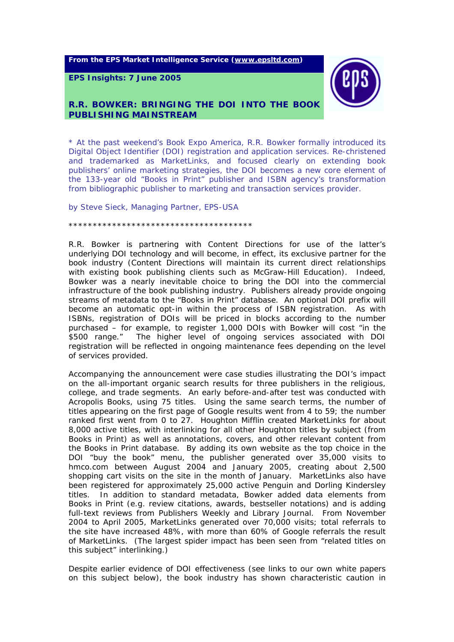**From the EPS Market Intelligence Service ([www.epsltd.com\)](http://www.epsltd.com/)**

**EPS Insights: 7 June 2005** 



# **R.R. BOWKER: BRINGING THE DOI INTO THE BOOK PUBLISHING MAINSTREAM**

*\* At the past weekend's Book Expo America, R.R. Bowker formally introduced its Digital Object Identifier (DOI) registration and application services. Re-christened and trademarked as MarketLinks, and focused clearly on extending book publishers' online marketing strategies, the DOI becomes a new core element of the 133-year old "Books in Print" publisher and ISBN agency's transformation from bibliographic publisher to marketing and transaction services provider.* 

*by Steve Sieck, Managing Partner, EPS-USA* 

*\*\*\*\*\*\*\*\*\*\*\*\*\*\*\*\*\*\*\*\*\*\*\*\*\*\*\*\*\*\*\*\*\*\*\*\*\*\** 

R.R. Bowker is partnering with Content Directions for use of the latter's underlying DOI technology and will become, in effect, its exclusive partner for the book industry (Content Directions will maintain its current direct relationships with existing book publishing clients such as McGraw-Hill Education). Indeed, Bowker was a nearly inevitable choice to bring the DOI into the commercial infrastructure of the book publishing industry. Publishers already provide ongoing streams of metadata to the "Books in Print" database. An optional DOI prefix will become an automatic opt-in within the process of ISBN registration. As with ISBNs, registration of DOIs will be priced in blocks according to the number purchased – for example, to register 1,000 DOIs with Bowker will cost "in the \$500 range." The higher level of ongoing services associated with DOI registration will be reflected in ongoing maintenance fees depending on the level of services provided.

Accompanying the announcement were case studies illustrating the DOI's impact on the all-important organic search results for three publishers in the religious, college, and trade segments. An early before-and-after test was conducted with Acropolis Books, using 75 titles. Using the same search terms, the number of titles appearing on the first page of Google results went from 4 to 59; the number ranked first went from 0 to 27. Houghton Mifflin created MarketLinks for about 8,000 active titles, with interlinking for all other Houghton titles by subject (from *Books in Print*) as well as annotations, covers, and other relevant content from the *Books in Print* database. By adding its own website as the top choice in the DOI "buy the book" menu, the publisher generated over 35,000 visits to hmco.com between August 2004 and January 2005, creating about 2,500 shopping cart visits on the site in the month of January. MarketLinks also have been registered for approximately 25,000 active Penguin and Dorling Kindersley titles. In addition to standard metadata, Bowker added data elements from *Books in Print* (e.g. review citations, awards, bestseller notations) and is adding full-text reviews from *Publishers Weekly* and *Library Journal*. From November 2004 to April 2005, MarketLinks generated over 70,000 visits; total referrals to the site have increased 48%, with more than 60% of Google referrals the result of MarketLinks. (The largest spider impact has been seen from "related titles on this subject" interlinking.)

Despite earlier evidence of DOI effectiveness (see links to our own white papers on this subject below), the book industry has shown characteristic caution in